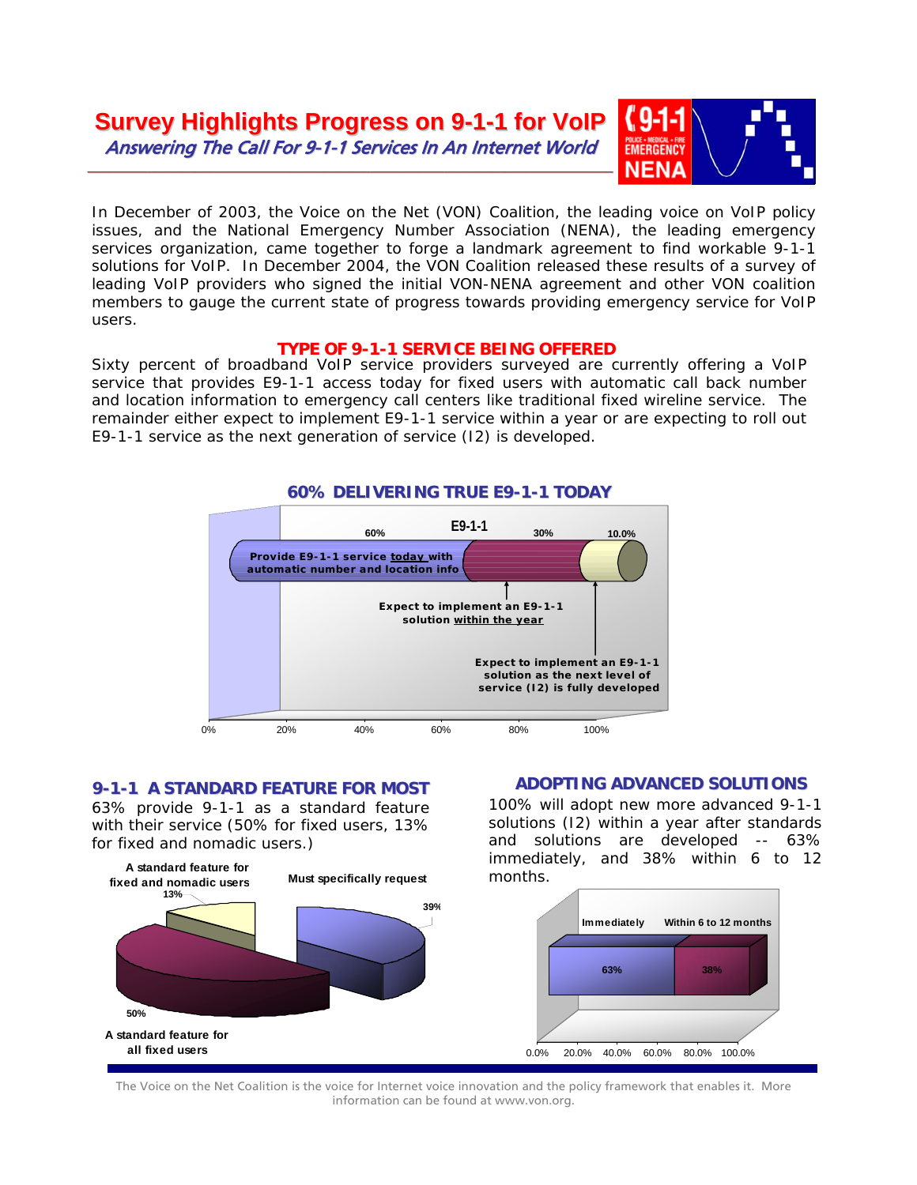

In December of 2003, the Voice on the Net (VON) Coalition, the leading voice on VoIP policy issues, and the National Emergency Number Association (NENA), the leading emergency services organization, came together to forge a landmark agreement to find workable 9-1-1 solutions for VoIP. In December 2004, the VON Coalition released these results of a survey of leading VoIP providers who signed the initial VON-NENA agreement and other VON coalition members to gauge the current state of progress towards providing emergency service for VoIP users.

## **TYPE OF 9-1-1 SERVICE BEING OFFERED**

Sixty percent of broadband VoIP service providers surveyed are currently offering a VoIP service that provides E9-1-1 access today for fixed users with automatic call back number and location information to emergency call centers like traditional fixed wireline service. The remainder either expect to implement E9-1-1 service within a year or are expecting to roll out E9-1-1 service as the next generation of service (I2) is developed.



# **60% DELIVERING TRUE E9-1-1 TODAY**

#### **9-1-1 A STANDARD FEATURE FOR MOST**

63% provide 9-1-1 as a standard feature with their service (50% for fixed users, 13% for fixed and nomadic users.)



# **ADOPTING ADVANCED SOLUTIONS**

100% will adopt new more advanced 9-1-1 solutions (I2) within a year after standards and solutions are developed -- 63% immediately, and 38% within 6 to 12 months.



The Voice on the Net Coalition is the voice for Internet voice innovation and the policy framework that enables it. More information can be found at www.von.org.